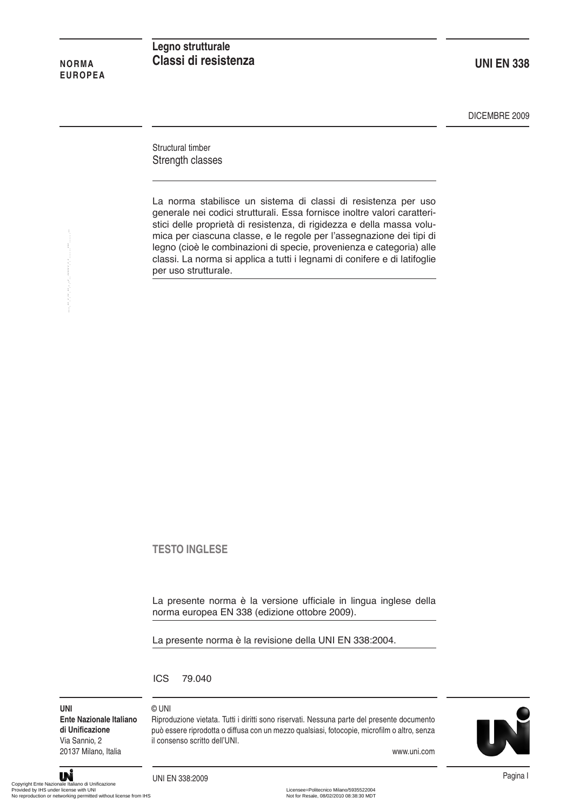### **NORMA EUROPEA**

## **Legno strutturale Classi di resistenza**

**UNI EN 338**

DICEMBRE 2009

Structural timber Strength classes

La norma stabilisce un sistema di classi di resistenza per uso generale nei codici strutturali. Essa fornisce inoltre valori caratteristici delle proprietà di resistenza, di rigidezza e della massa volumica per ciascuna classe, e le regole per l'assegnazione dei tipi di legno (cioè le combinazioni di specie, provenienza e categoria) alle classi. La norma si applica a tutti i legnami di conifere e di latifoglie per uso strutturale. mica per classion. In the professional classic, e le regole per l'assegnaze<br>legge (cioè le combinazioni di specie, provenienza e classi. La norma si applica a tutti i legnami di confere<br>per uso strutturale.<br>Per uso struttu

## **TESTO INGLESE**

La presente norma è la versione ufficiale in lingua inglese della norma europea EN 338 (edizione ottobre 2009).

Riproduzione vietata. Tutti i diritti sono riservati. Nessuna parte del presente documento può essere riprodotta o diffusa con un mezzo qualsiasi, fotocopie, microfilm o altro, senza

La presente norma è la revisione della UNI EN 338:2004.

ICS 79.040

© UNI

**UNI Ente Nazionale Italiano di Unificazione** Via Sannio, 2 20137 Milano, Italia

#### www.uni.com

Pagina I UNI EN 338:2009

il consenso scritto dell'UNI.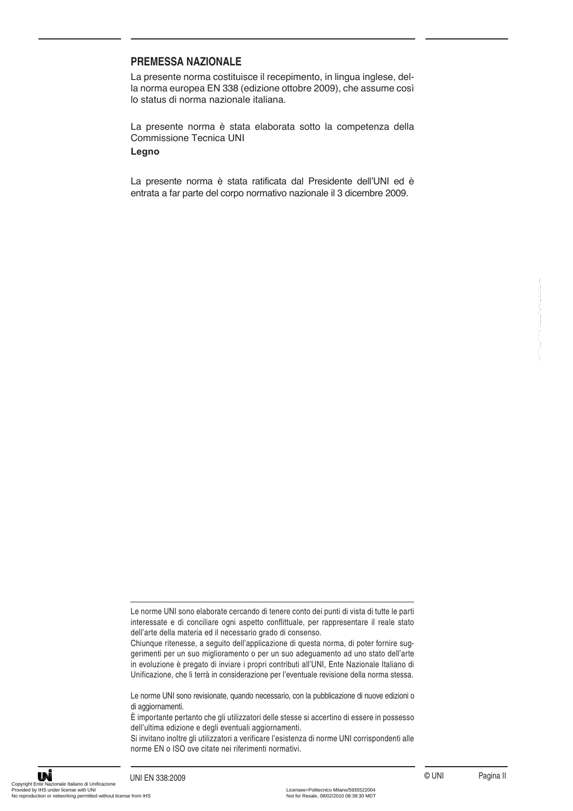### **PREMESSA NAZIONALE**

La presente norma costituisce il recepimento, in lingua inglese, della norma europea EN 338 (edizione ottobre 2009), che assume così lo status di norma nazionale italiana.

La presente norma è stata elaborata sotto la competenza della Commissione Tecnica UNI

## **Legno**

La presente norma è stata ratificata dal Presidente dell'UNI ed è entrata a far parte del corpo normativo nazionale il 3 dicembre 2009.

Le norme UNI sono elaborate cercando di tenere conto dei punti di vista di tutte le parti interessate e di conciliare ogni aspetto conflittuale, per rappresentare il reale stato dell'arte della materia ed il necessario grado di consenso.

Chiunque ritenesse, a seguito dell'applicazione di questa norma, di poter fornire suggerimenti per un suo miglioramento o per un suo adeguamento ad uno stato dell'arte in evoluzione è pregato di inviare i propri contributi all'UNI, Ente Nazionale Italiano di Unificazione, che li terrà in considerazione per l'eventuale revisione della norma stessa. La point Billiano allocation de particular de la point de la point de la point de la point de la point de la contrative de la contrative per experimente el la point de la point de la contrative per experimente la level de

Le norme UNI sono revisionate, quando necessario, con la pubblicazione di nuove edizioni o di aggiornamenti.

È importante pertanto che gli utilizzatori delle stesse si accertino di essere in possesso dell'ultima edizione e degli eventuali aggiornamenti.

Si invitano inoltre gli utilizzatori a verificare l'esistenza di norme UNI corrispondenti alle norme EN o ISO ove citate nei riferimenti normativi.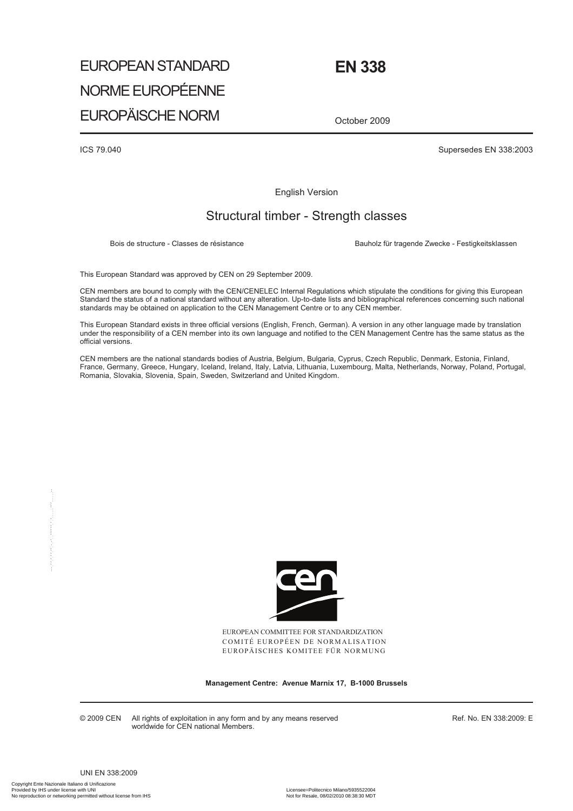# EUROPEAN STANDARD NORME EUROPÉENNE EUROPÄISCHE NORM

October 2009

 **EN 338** 

ICS 79.040 Supersedes EN 338:2003

English Version

# Structural timber - Strength classes

Bois de structure - Classes de résistance **Bauholz für tragende Zwecke - Festigkeitsklassen** 

This European Standard was approved by CEN on 29 September 2009.

CEN members are bound to comply with the CEN/CENELEC Internal Regulations which stipulate the conditions for giving this European Standard the status of a national standard without any alteration. Up-to-date lists and bibliographical references concerning such national standards may be obtained on application to the CEN Management Centre or to any CEN member.

This European Standard exists in three official versions (English, French, German). A version in any other language made by translation under the responsibility of a CEN member into its own language and notified to the CEN Management Centre has the same status as the official versions.

CEN members are the national standards bodies of Austria, Belgium, Bulgaria, Cyprus, Czech Republic, Denmark, Estonia, Finland, France, Germany, Greece, Hungary, Iceland, Ireland, Italy, Latvia, Lithuania, Luxembourg, Malta, Netherlands, Norway, Poland, Portugal, Romania, Slovakia, Slovenia, Spain, Sweden, Switzerland and United Kingdom.



EUROPEAN COMMITTEE FOR STANDARDIZATION COMITÉ EUROPÉEN DE NORMALISATION EUROPÄISCHES KOMITEE FÜR NORMUNG

**Management Centre: Avenue Marnix 17, B-1000 Brussels** 

© 2009 CEN All rights of exploitation in any form and by any means reserved worldwide for CEN national Members.

Ref. No. EN 338:2009: E

UNI EN 338:2009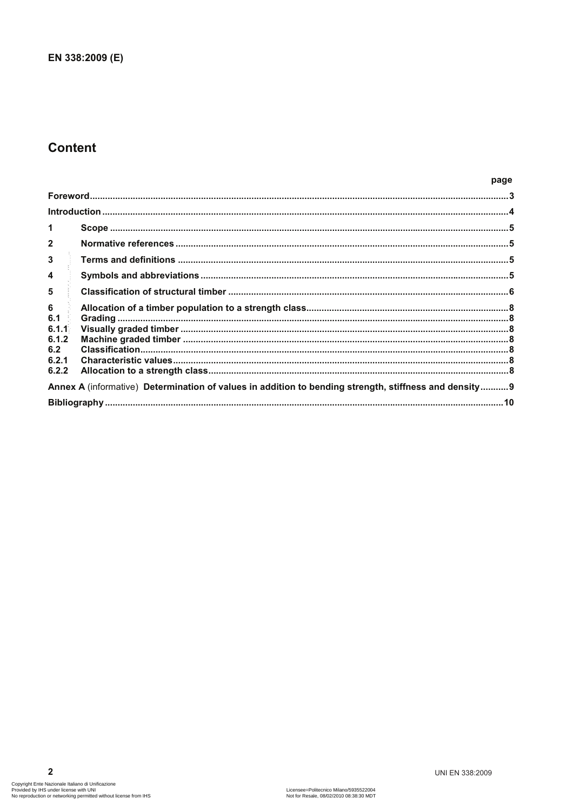# **Content**

#### page

| $\overline{2}$                                                                                        |  |
|-------------------------------------------------------------------------------------------------------|--|
| $\mathbf{3}$                                                                                          |  |
| 4                                                                                                     |  |
| 5                                                                                                     |  |
| 6<br>6.1                                                                                              |  |
| 6.1.1<br>6.1.2                                                                                        |  |
| 6.2                                                                                                   |  |
| 6.2.1<br>6.2.2                                                                                        |  |
| Annex A (informative) Determination of values in addition to bending strength, stiffness and density9 |  |
|                                                                                                       |  |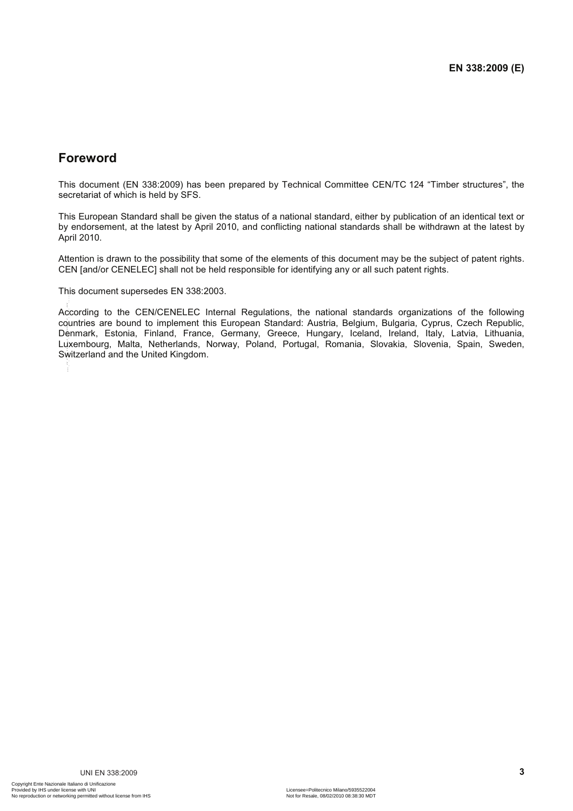# **Foreword**

This document (EN 338:2009) has been prepared by Technical Committee CEN/TC 124 "Timber structures", the secretariat of which is held by SFS.

This European Standard shall be given the status of a national standard, either by publication of an identical text or by endorsement, at the latest by April 2010, and conflicting national standards shall be withdrawn at the latest by April 2010.

Attention is drawn to the possibility that some of the elements of this document may be the subject of patent rights. CEN [and/or CENELEC] shall not be held responsible for identifying any or all such patent rights.

This document supersedes EN 338:2003.

According to the CEN/CENELEC Internal Regulations, the national standards organizations of the following countries are bound to implement this European Standard: Austria, Belgium, Bulgaria, Cyprus, Czech Republic, Denmark, Estonia, Finland, France, Germany, Greece, Hungary, Iceland, Ireland, Italy, Latvia, Lithuania, Luxembourg, Malta, Netherlands, Norway, Poland, Portugal, Romania, Slovakia, Slovenia, Spain, Sweden, Switzerland and the United Kingdom. This accurates supersons as the CENCENELEC Internal Regulations, the national stand<br>countries, response to constrain the middle rate of the European Standard: Austria, Belgium<br>Danmark, Eatonia. Finland . Frances. European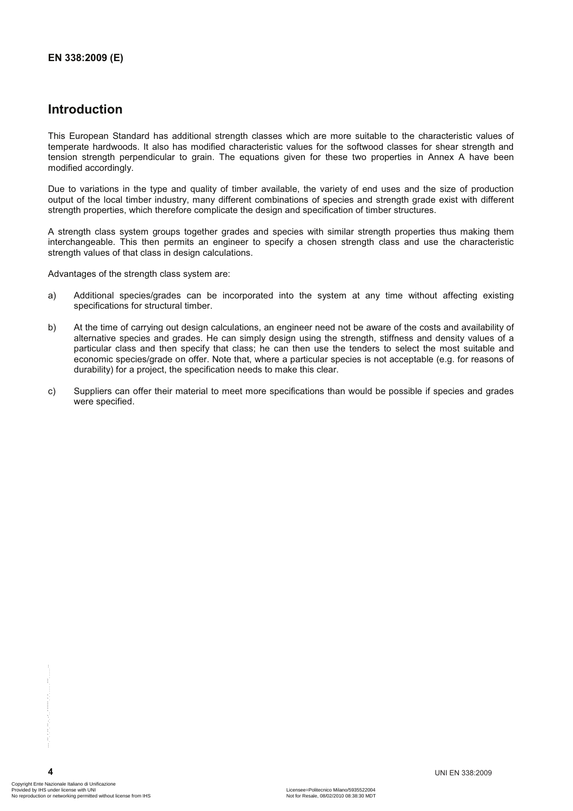# **Introduction**

This European Standard has additional strength classes which are more suitable to the characteristic values of temperate hardwoods. It also has modified characteristic values for the softwood classes for shear strength and tension strength perpendicular to grain. The equations given for these two properties in Annex A have been modified accordingly.

Due to variations in the type and quality of timber available, the variety of end uses and the size of production output of the local timber industry, many different combinations of species and strength grade exist with different strength properties, which therefore complicate the design and specification of timber structures.

A strength class system groups together grades and species with similar strength properties thus making them interchangeable. This then permits an engineer to specify a chosen strength class and use the characteristic strength values of that class in design calculations.

Advantages of the strength class system are:

- a) Additional species/grades can be incorporated into the system at any time without affecting existing specifications for structural timber.
- b) At the time of carrying out design calculations, an engineer need not be aware of the costs and availability of alternative species and grades. He can simply design using the strength, stiffness and density values of a particular class and then specify that class; he can then use the tenders to select the most suitable and economic species/grade on offer. Note that, where a particular species is not acceptable (e.g. for reasons of durability) for a project, the specification needs to make this clear.
- c) Suppliers can offer their material to meet more specifications than would be possible if species and grades were specified.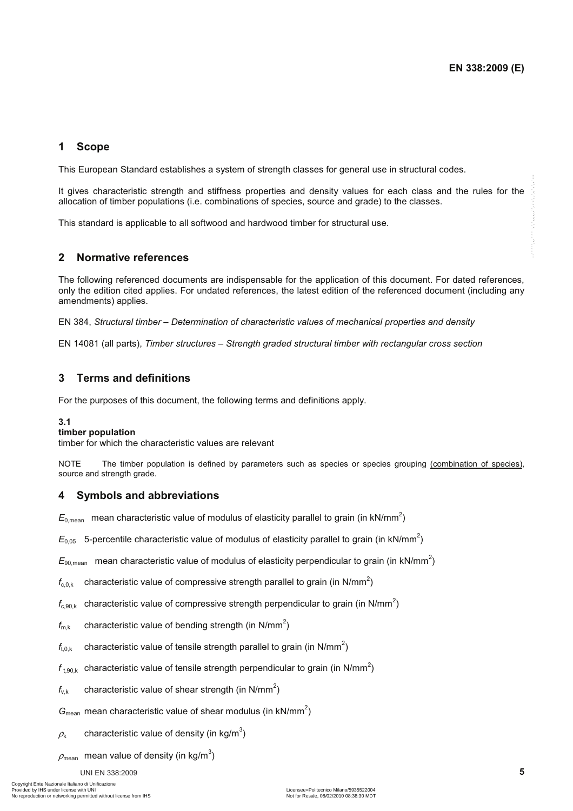## **1 Scope**

This European Standard establishes a system of strength classes for general use in structural codes.

It gives characteristic strength and stiffness properties and density values for each class and the rules for the allocation of timber populations (i.e. combinations of species, source and grade) to the classes.

This standard is applicable to all softwood and hardwood timber for structural use.

#### **2 Normative references**

The following referenced documents are indispensable for the application of this document. For dated references, only the edition cited applies. For undated references, the latest edition of the referenced document (including any amendments) applies. If the accordance control methods and the forest properties and control with the state and the other states and the other states and the states and the states and the states and the states and the states and the states a

EN 384, *Structural timber – Determination of characteristic values of mechanical properties and density* 

EN 14081 (all parts), *Timber structures – Strength graded structural timber with rectangular cross section*

## **3 Terms and definitions**

For the purposes of this document, the following terms and definitions apply.

#### **3.1**

#### **timber population**

timber for which the characteristic values are relevant

NOTE The timber population is defined by parameters such as species or species grouping (combination of species), source and strength grade.

#### **4 Symbols and abbreviations**

 $E_{0,\text{mean}}$  mean characteristic value of modulus of elasticity parallel to grain (in kN/mm<sup>2</sup>)

 $E_{0.05}$  5-percentile characteristic value of modulus of elasticity parallel to grain (in kN/mm<sup>2</sup>)

 $E_{90, \text{mean}}$  mean characteristic value of modulus of elasticity perpendicular to grain (in kN/mm<sup>2</sup>)

 $f_{\mathrm{c,0,k}}$  characteristic value of compressive strength parallel to grain (in N/mm<sup>2</sup>)

 $f_{\rm c,90,k}$  characteristic value of compressive strength perpendicular to grain (in N/mm<sup>2</sup>)

 $f_{\text{m},k}$  characteristic value of bending strength (in N/mm<sup>2</sup>)

 $f_{\rm t,0,k}$  characteristic value of tensile strength parallel to grain (in N/mm<sup>2</sup>)

 $f_{\rm t,90,k}$  characteristic value of tensile strength perpendicular to grain (in N/mm<sup>2</sup>)

 $f_{v,k}$  characteristic value of shear strength (in N/mm<sup>2</sup>)

 $G_{\text{mean}}$  mean characteristic value of shear modulus (in  $kN/mm^2$ )

 $\rho_{\rm k}$  characteristic value of density (in kg/m $^3)$ 

 $\rho_{\mathsf{mean}}\;$  mean value of density (in kg/m $^3)$ 

#### UNI EN 338:2009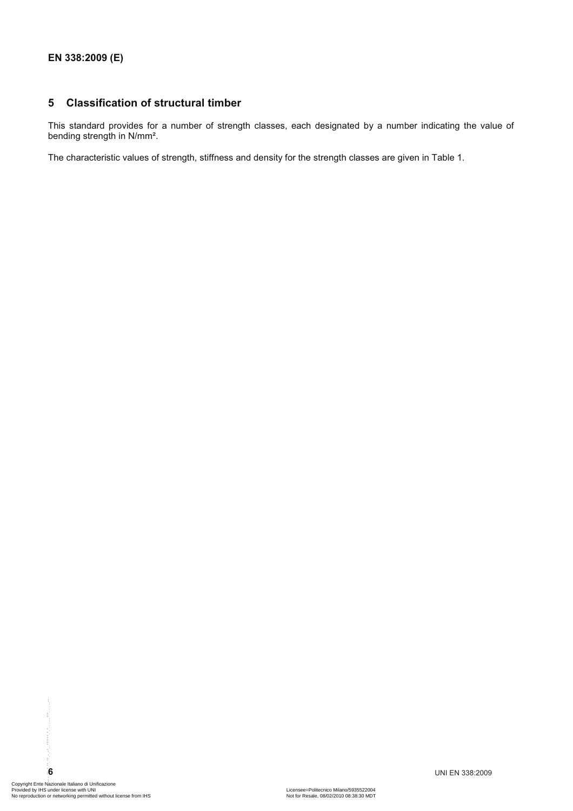## **5 Classification of structural timber**

This standard provides for a number of strength classes, each designated by a number indicating the value of bending strength in N/mm².

The characteristic values of strength, stiffness and density for the strength classes are given in Table 1.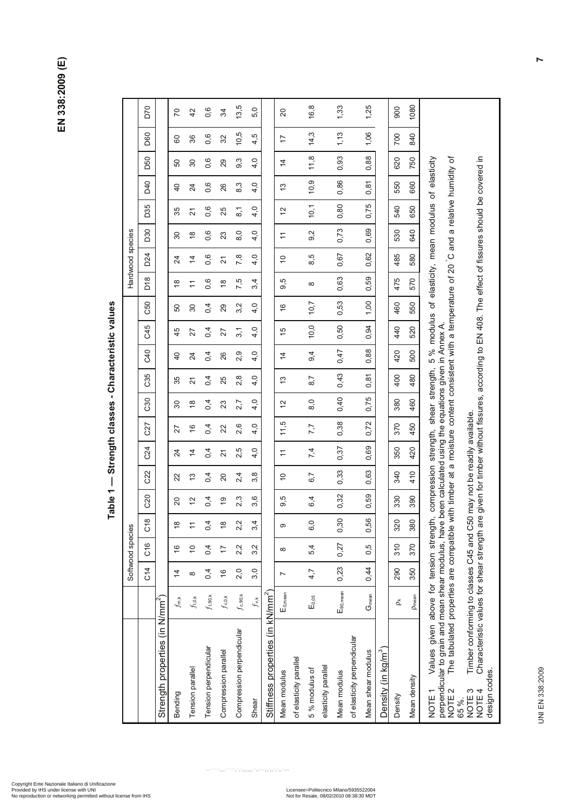**EN 338:2009 (E)**  EN 338:2009 (E)

Mean density p<sub>ream</sub> | 0.380 | 380 | 380 | 390 | 390 | 390 | 390 | 490 | 490 | 490 | 490 | 490 | 390 | 390 | 390 | 390 | 390 | 390 | 390 | 390 | 390 | 890 | 890 | 890 | 890 | 890 | 890 | 890 | 890 | 890 | 890 | 890 | 890 D70 C14 C16 C18 C20 C22 C24 C27 C30 C35 C40 C45 C50 D18 D24 D30 D35 D40 D50 D60 D70  $13,5$ Compression perpendicular |  $f_{\rm c,90k}$  | 2,0 | 2,2 | 2,2 | 2,3 | 2,5 | 2,5 | 2,5 | 2,8 | 2,9 | 2,9 | 3,2 | 7,5 | 7,8 | 8,0 | 8,1 | 8,3 | 9,3 | 10,5 | 13,5 16,8 5 % modulus of E0,05 4,7 5,4 6,0 6,4 6,7 7,4 7,7 8,0 8,7 9,4 10,0 10,7 8 8,5 9,2 10,1 10,9 11,8 14,3 16,8  $33$ Mean modulus E<sub>90,mean</sub> | 0,23 | 0,27 | 0,32 | 0,33 | 0,33 | 0,33 | 0,33 | 0,40 | 0,40 | 0,50 | 0,50 | 0,50 | 0,50 | 0,50 | 0,50 | 0,86 | 0,93 | 1,13 | 1,33 1,25 Mean shear modulus Gmean 0,44 0,56 0,56 0,56 0,59 0,59 0,75 0,75 0,88 0,88 0,88 0,94 1,00 0,63 0,69 0,59 0,59 0,88 1,06 1,25 1080 900 Density ρk 290 310 320 330 340 350 370 380 400 420 440 460 475 485 530 540 550 620 700 900  $42$  $0,6$ Tension perpendicular ƒt,90,k 0,4 0,4 0,4 0,4 0,4 0,4 0,4 0,4 0,4 0,4 0,4 0,4 0,6 0,6 0,6 0,6 0,6 0,6 0,6 0,6 5,0 Shear  $f_{\rm{v},k}$   $\{4,0}$   $\{4,0}$   $\{4,0}$   $\{4,0}$   $\{4,0}$   $\{4,0}$   $\{4,0}$   $\{4,0}$   $\{4,0}$   $\{4,0}$   $\{4,0}$   $\{4,0}$   $\{4,0}$   $\{4,0}$   $\{4,0}$   $\{4,0}$   $\{4,0}$   $\{4,0}$   $\{4,0}$   $\{4,0}$   $\{4,0}$   $\{4,0}$   $\{4,$  $\overline{C}$ Bending ƒm,k 14 16 18 20 22 24 27 30 35 40 45 50 18 24 30 35 40 50 60 70 Tension parallel and the set of 10 11 12 14 14 16 16 16 16 16 16 16 17 12 12 13 14 14 18 14 18 14 18 14 14 14 1  $34$ Compression parallel ƒc,0,k 16 17 18 19 20 21 22 23 25 26 27 29 18 21 23 25 26 29 32 34  $\overline{c}$ Mean modulus LE<sub>0mean</sub> 7 | 8 | 9,5 | 10 | 11 | 11,5 | 13 | 14 | 15 | 16 | 15 | 16 | 9,5 | 10 | 11 | 12 | 13 | 14 | 17 | 20 **D60**  $10,5$ 1,13  $14,3$ 1,06 840 4,5 700 36  $0,6$  $\overline{1}$ 60  $32$  $11,8$ 0,93 0,88 NOTE 1 Values given above for tension strength, compression strength, shear strength, 5 % modulus of elasticity, mean modulus of elasticity C and a relative humidity of NOTE 4 Characteristic values for shear strength are given for timber without fissures, according to EN 408. The effect of fissures should be covered in ৳ ⊒. D<sub>50</sub> 0,6 ാ.  $\overline{4}$ .0  $\overline{4}$ 620 750 modulus of elasticity, mean modulus of elasticity 50  $\boldsymbol{30}$ 29 according to EN 408. The effect of fissures should be covered D40  $10,9$ 0,86 0,6  $4,0$  $0,81$ 8,3 660  $\overline{Q}$  $\overline{2}$ 26  $\tilde{c}$ 550 0,75  $10,1$  $0,80$ D35 35 0,6  $\frac{4}{10}$  $\tilde{c}$ 540 650  $\overline{2}1$ 25  $\overline{8}$ 0,73 0,69 Softwood species Hardwood species D30 640 Hardwood species  $9,2$ 530  $\overline{\mathrm{30}}$  $\frac{8}{3}$  $0,6$  $23$  $8,0$  $4,0$  $\overline{\tau}$ D24  $4,0$ 0,67 0,62 485 580 8,5  $\overline{4}$  $0,6$  $7,8$  $\supseteq$  $\overline{2}$  $\overline{2}$ ° NOTE 2 The tabulated properties are compatible with timber at a moisture content consistent with a temperature of 20 0,63  $D18$ 0,59 0,6 7,5  $3.4$ 9,5 475 570  $\frac{8}{1}$  $\overline{1}$  $\frac{8}{3}$  $\infty$ 0,53 1,00 C50  $10,7$ 460 550  $4,0$  $\overline{6}$  $30$  $0,4$ 29 3,2 SO. perpendicular to grain and mean shear modulus, have been calculated using the equations given in Annex A.  $10,0$ 0,50 0,94 **GA5** 520  $45$  $4,0$  $\frac{5}{2}$ 440  $\overline{27}$  $0,4$ 27  $3,1$  $5%$  $G40$  $0,47$ 0,88  $9,4$ 500  $0,4$ 2,9  $4,0$ 420  $\overline{0}$  $\overline{a}$ 26  $\overline{4}$ compression strength, shear strength, C35  $0,43$  $0,81$ 480 400  $0,4$ 25  $2,8$  $4,0$  $\frac{3}{2}$  $8,7$ 35  $\overline{2}$  $0,40$ Characteristic values for shear strength are given for timber without fissures, 0,75 80  $8,0$ 460  $0,4$  $4,0$  $\tilde{c}$ 380  $\overline{30}$  $\frac{8}{1}$ 23 2,7 NOTE 3 Timber conforming to classes C45 and C50 may not be readily available. Timber conforming to classes C45 and C50 may not be readily available.  $11,5$ 0,38 0,72 450 C27 370  $\frac{6}{5}$  $0,4$ 2,6  $4.0$ 7,7 27 22 C24 0,37 0,69 420 2,5  $4.0$  $7,4$  $0,4$  $\overline{1}$ 350  $\overline{4}$  $\overline{2}$  $\overline{z}$ C22 0,33 0,63 410 340 3.8 22  $\frac{3}{2}$  $0,4$  $20$  $^{2,4}$  $\overline{a}$ 6,7 0,32 0,59 C20  $0,4$  $2,3$ 9,5 390  $\tilde{c}$ 3,6  $6,4$ 330  $\overline{9}$ 20 for tension strength,  $C18$ 0,30 0,56 380  $\frac{\infty}{\infty}$ 6,0 320  $\overline{1}$  $0,4$  $\frac{8}{1}$  $2,2$  $3\overline{4}$  $\sigma$ Softwood species  $C16$ 0,27 0,5  $310$ 370  $\frac{6}{5}$  $\tilde{e}$  $0,4$  $\overline{1}$  $2,2$  $3,2$ 5,4  $\infty$ 0,23  $\overline{C}$ 14 0,44 350  $0,4$  $\frac{6}{5}$  $2,0$  $3,0$ 4.7 290  $\overline{4}$  $\infty$  $\overline{a}$  $\mathsf{E}_{90,\mathsf{mean}}$ Stiffness properties (in kN/mm $^2$ )  $G<sub>mean</sub>$ E<sub>0.mean</sub> Strength properties (in N/mm<sup>2</sup>)  $f_{\rm t,90,k}$  $f_{\rm c,90,k}$  $\mathsf{E}_{0,05}$ Pmean  $f_{\rm t.0,k}$  $f_{\rm c, 0,k}$ Stiffness properties (in kN/mm<sup>2</sup> Values given above  $f_{\rm v,k}$  $f_{\mathsf{m},\mathsf{k}}$ č. (in N/mm Compression perpendicular of elasticity perpendicular of elasticity perpendicular properties Tension perpendicular Density (in kg/m $^3\,)$ Compression parallel Mean shear modulus Density (in kg/m<sup>3</sup> of elasticity parallel of elasticity parallel elasticity parallel elasticity parallel Tension parallel 5 % modulus of design codes. Mean modulus design codes. Mean modulus Vlean density Strength **NOTE1 VOTE 3 NOTE4** Bending Density 65 %. Shear

**Table 1 — Strength classes - Characteristic values**  Table 1 - Strength classes - Characteristic values

> UNI EN 338:2009 UNI EN 338:2009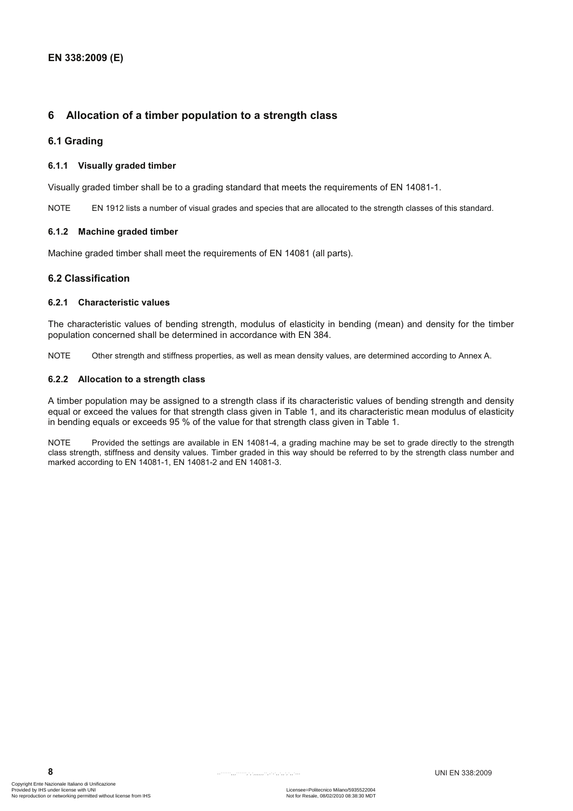## **6 Allocation of a timber population to a strength class**

#### **6.1 Grading**

#### **6.1.1 Visually graded timber**

Visually graded timber shall be to a grading standard that meets the requirements of EN 14081-1.

NOTE EN 1912 lists a number of visual grades and species that are allocated to the strength classes of this standard.

#### **6.1.2 Machine graded timber**

Machine graded timber shall meet the requirements of EN 14081 (all parts).

#### **6.2 Classification**

#### **6.2.1 Characteristic values**

The characteristic values of bending strength, modulus of elasticity in bending (mean) and density for the timber population concerned shall be determined in accordance with EN 384.

NOTE Other strength and stiffness properties, as well as mean density values, are determined according to Annex A.

#### **6.2.2 Allocation to a strength class**

A timber population may be assigned to a strength class if its characteristic values of bending strength and density equal or exceed the values for that strength class given in Table 1, and its characteristic mean modulus of elasticity in bending equals or exceeds 95 % of the value for that strength class given in Table 1.

NOTE Provided the settings are available in EN 14081-4, a grading machine may be set to grade directly to the strength class strength, stiffness and density values. Timber graded in this way should be referred to by the strength class number and marked according to EN 14081-1, EN 14081-2 and EN 14081-3.

**8**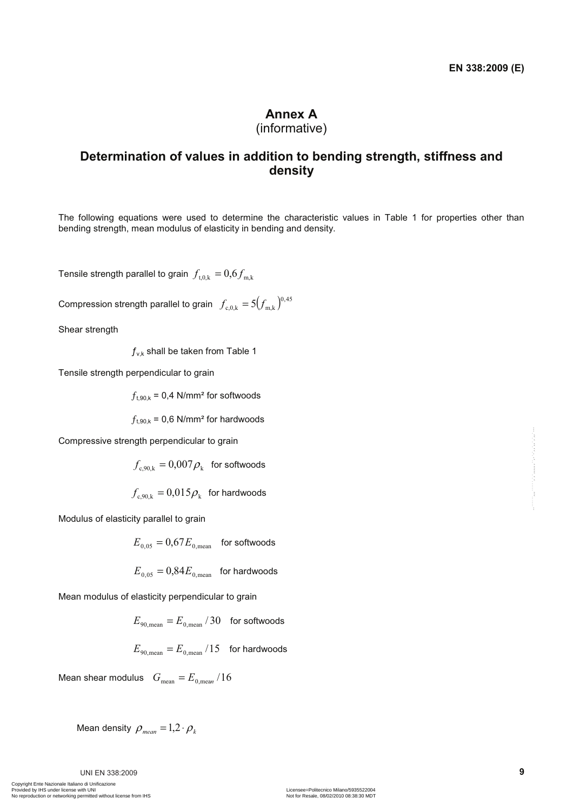# **Annex A**

# (informative)

# **Determination of values in addition to bending strength, stiffness and density**

The following equations were used to determine the characteristic values in Table 1 for properties other than bending strength, mean modulus of elasticity in bending and density.

Tensile strength parallel to grain  $f_{t,0,k} = 0.6 f_{m,k}$ 

Compression strength parallel to grain  $f_{\rm c,0,k} = 5 (f_{\rm m,k})^{0.45}$ 

Shear strength

 $f_{v,k}$  shall be taken from Table 1

Tensile strength perpendicular to grain

 $f_{\text{t.90 k}}$  = 0,4 N/mm<sup>2</sup> for softwoods

 $f_{t,90,k}$  = 0,6 N/mm<sup>2</sup> for hardwoods

Compressive strength perpendicular to grain

$$
f_{c,90,k} = 0.007 \rho_k
$$
 for softwoods

 $f_{\text{c.90,k}} = 0.015 \rho_{\text{k}}$  for hardwoods

Modulus of elasticity parallel to grain

$$
E_{\rm 0,05} = 0.67 E_{\rm 0,mean} \quad \text{for softwoods}
$$

$$
E_{0.05} = 0.84 E_{0.\text{mean}}
$$
 for hardwoods

Mean modulus of elasticity perpendicular to grain

$$
E_{90,\text{mean}} = E_{0,\text{mean}} / 30 \quad \text{for softwoods}
$$

$$
E_{\rm 90, mean} = E_{\rm 0, mean} / 15
$$
 for hardwoods

Mean shear modulus  $G_{\text{mean}} = E_{0, \text{mean}} / 16$ Compressive strength perpendicular to grain<br>  $f_{\text{c,NNA}} = 0.007 \rho_1$  for softwoods<br>  $f_{\text{c,NNA}} = 0.015 \rho_1$  for hardwoods<br>
Modulus of elasticity parallel to grain<br>  $E_{\text{E,NN}} = 0.67 E_{\text{d,mean}}$  for softwoods<br>  $E_{\text{U,NS}} = 0.8$ 

Mean density 
$$
\rho_{mean} = 1.2 \cdot \rho_k
$$

UNI EN 338:2009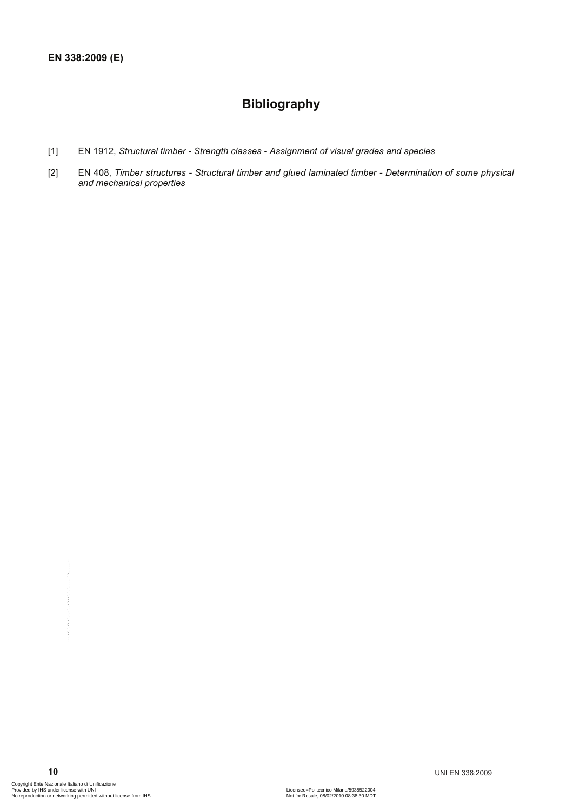# **Bibliography**

- [1] EN 1912, *Structural timber Strength classes Assignment of visual grades and species*
- [2] EN 408, *Timber structures Structural timber and glued laminated timber Determination of some physical and mechanical properties*